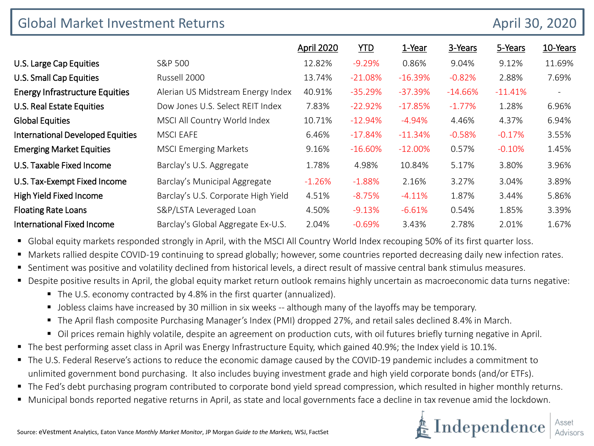| <b>Global Market Investment Returns</b><br>April 30, 2020 |                                     |                   |            |            |           |            |                          |
|-----------------------------------------------------------|-------------------------------------|-------------------|------------|------------|-----------|------------|--------------------------|
|                                                           |                                     | <b>April 2020</b> | <b>YTD</b> | 1-Year     | 3-Years   | 5-Years    | 10-Years                 |
| U.S. Large Cap Equities                                   | S&P 500                             | 12.82%            | $-9.29%$   | 0.86%      | 9.04%     | 9.12%      | 11.69%                   |
| U.S. Small Cap Equities                                   | Russell 2000                        | 13.74%            | $-21.08%$  | $-16.39%$  | $-0.82%$  | 2.88%      | 7.69%                    |
| <b>Energy Infrastructure Equities</b>                     | Alerian US Midstream Energy Index   | 40.91%            | $-35.29%$  | $-37.39\%$ | $-14.66%$ | $-11.41\%$ | $\overline{\phantom{a}}$ |
| U.S. Real Estate Equities                                 | Dow Jones U.S. Select REIT Index    | 7.83%             | $-22.92%$  | $-17.85%$  | $-1.77%$  | 1.28%      | 6.96%                    |
| <b>Global Equities</b>                                    | MSCI All Country World Index        | 10.71%            | $-12.94\%$ | $-4.94\%$  | 4.46%     | 4.37%      | 6.94%                    |
| <b>International Developed Equities</b>                   | <b>MSCI EAFE</b>                    | 6.46%             | $-17.84%$  | $-11.34%$  | $-0.58%$  | $-0.17%$   | 3.55%                    |
| <b>Emerging Market Equities</b>                           | <b>MSCI Emerging Markets</b>        | 9.16%             | $-16.60%$  | $-12.00\%$ | 0.57%     | $-0.10%$   | 1.45%                    |
| U.S. Taxable Fixed Income                                 | Barclay's U.S. Aggregate            | 1.78%             | 4.98%      | 10.84%     | 5.17%     | 3.80%      | 3.96%                    |
| U.S. Tax-Exempt Fixed Income                              | Barclay's Municipal Aggregate       | $-1.26%$          | $-1.88%$   | 2.16%      | 3.27%     | 3.04%      | 3.89%                    |
| High Yield Fixed Income                                   | Barclay's U.S. Corporate High Yield | 4.51%             | $-8.75%$   | $-4.11%$   | 1.87%     | 3.44%      | 5.86%                    |
| <b>Floating Rate Loans</b>                                | S&P/LSTA Leveraged Loan             | 4.50%             | $-9.13%$   | $-6.61%$   | 0.54%     | 1.85%      | 3.39%                    |
| <b>International Fixed Income</b>                         | Barclay's Global Aggregate Ex-U.S.  | 2.04%             | $-0.69%$   | 3.43%      | 2.78%     | 2.01%      | 1.67%                    |

**G** Global equity markets responded strongly in April, with the MSCI All Country World Index recouping 50% of its first quarter loss.

Markets rallied despite COVID-19 continuing to spread globally; however, some countries reported decreasing daily new infection rates.

- Sentiment was positive and volatility declined from historical levels, a direct result of massive central bank stimulus measures.
- Despite positive results in April, the global equity market return outlook remains highly uncertain as macroeconomic data turns negative:
	- The U.S. economy contracted by 4.8% in the first quarter (annualized).
	- **Jobless claims have increased by 30 million in six weeks -- although many of the layoffs may be temporary.**
	- The April flash composite Purchasing Manager's Index (PMI) dropped 27%, and retail sales declined 8.4% in March.
	- Oil prices remain highly volatile, despite an agreement on production cuts, with oil futures briefly turning negative in April.
- The best performing asset class in April was Energy Infrastructure Equity, which gained 40.9%; the Index yield is 10.1%.
- The U.S. Federal Reserve's actions to reduce the economic damage caused by the COVID-19 pandemic includes a commitment to unlimited government bond purchasing. It also includes buying investment grade and high yield corporate bonds (and/or ETFs).
- The Fed's debt purchasing program contributed to corporate bond yield spread compression, which resulted in higher monthly returns.
- Municipal bonds reported negative returns in April, as state and local governments face a decline in tax revenue amid the lockdown.

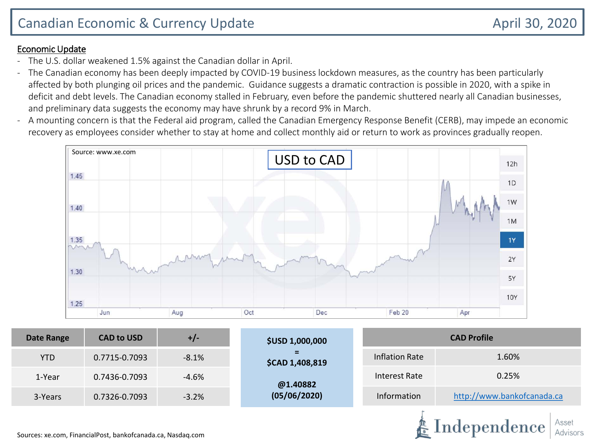#### Economic Update

- The U.S. dollar weakened 1.5% against the Canadian dollar in April.
- The Canadian economy has been deeply impacted by COVID-19 business lockdown measures, as the country has been particularly affected by both plunging oil prices and the pandemic. Guidance suggests a dramatic contraction is possible in 2020, with a spike in deficit and debt levels. The Canadian economy stalled in February, even before the pandemic shuttered nearly all Canadian businesses, and preliminary data suggests the economy may have shrunk by a record 9% in March.
- A mounting concern is that the Federal aid program, called the Canadian Emergency Response Benefit (CERB), may impede an economic recovery as employees consider whether to stay at home and collect monthly aid or return to work as provinces gradually reopen.



| <b>Date Range</b> | <b>CAD to USD</b> | $+/-$   | <b>\$USD 1,000,000</b>       | <b>CAD Profile</b>    |                            |  |  |
|-------------------|-------------------|---------|------------------------------|-----------------------|----------------------------|--|--|
| <b>YTD</b>        | 0.7715-0.7093     | $-8.1%$ | Ξ.<br><b>\$CAD 1,408,819</b> | <b>Inflation Rate</b> | 1.60%                      |  |  |
| 1-Year            | 0.7436-0.7093     | $-4.6%$ | @1.40882                     | Interest Rate         | 0.25%                      |  |  |
| 3-Years           | 0.7326-0.7093     | $-3.2%$ | (05/06/2020)                 | Information           | http://www.bankofcanada.ca |  |  |
|                   |                   |         |                              |                       |                            |  |  |

Sources: xe.com, FinancialPost, bankofcanada.ca, Nasdaq.com

Independence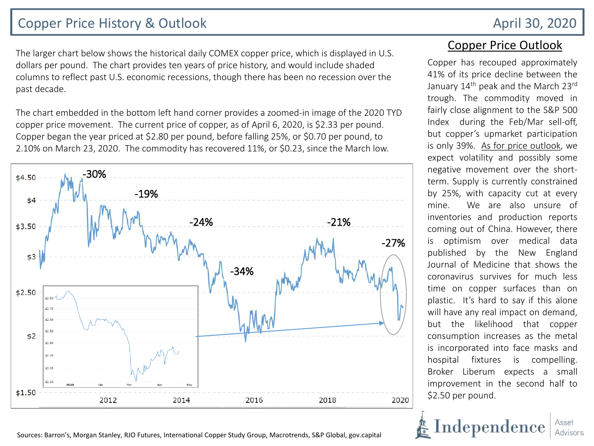## Copper Price History & Outlook April 30, 2020

The larger chart below shows the historical daily COMEX copper price, which is displayed in U.S. dollars per pound. The chart provides ten years of price history, and would include shaded columns to reflect past U.S. economic recessions, though there has been no recession over the past decade.

The chart embedded in the bottom left hand corner provides a zoomed-in image of the 2020 TYD copper price movement. The current price of copper, as of April 6, 2020, is \$2.33 per pound. Copper began the year priced at \$2.80 per pound, before falling 25%, or \$0.70 per pound, to 2.10% on March 23, 2020. The commodity has recovered 11%, or \$0.23, since the March low.



Sources: Barron's, Morgan Stanley, RJO Futures, International Copper Study Group, Macrotrends, S&P Global, gov.capital

### Copper Price Outlook

Copper has recouped approximately 41% of its price decline between the January 14<sup>th</sup> peak and the March 23rd trough. The commodity moved in fairly close alignment to the S&P 500 Index during the Feb/Mar sell-off, but copper's upmarket participation is only 39%. As for price outlook, we expect volatility and possibly some negative movement over the shortterm. Supply is currently constrained by 25%, with capacity cut at every mine. We are also unsure of inventories and production reports coming out of China. However, there is optimism over medical data published by the New England Journal of Medicine that shows the coronavirus survives for much less time on copper surfaces than on plastic. It's hard to say if this alone will have any real impact on demand, but the likelihood that copper consumption increases as the metal is incorporated into face masks and hospital fixtures is compelling. Broker Liberum expects a small improvement in the second half to \$2.50 per pound.